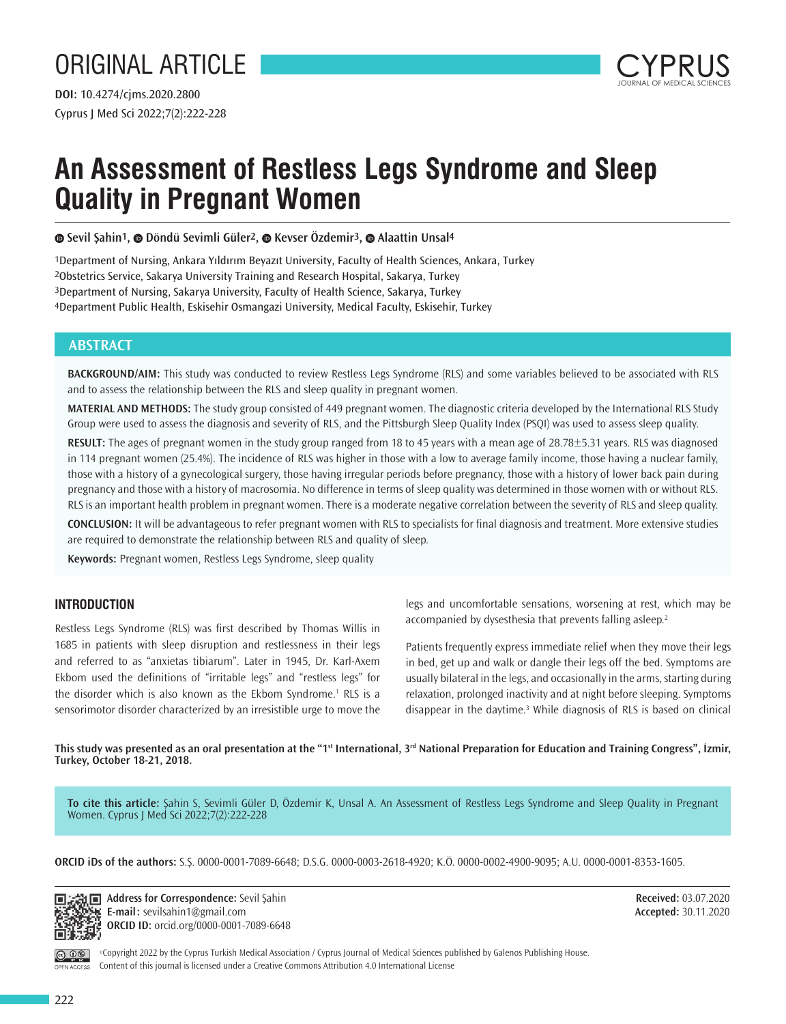# ORIGINAL ARTICLE



## **An Assessment of Restless Legs Syndrome and Sleep Quality in Pregnant Women**

**Sevil Şahin1,Döndü Sevimli Güler2,Kevser Özdemir3,Alaattin Unsal4**

Department of Nursing, Ankara Yıldırım Beyazıt University, Faculty of Health Sciences, Ankara, Turkey Obstetrics Service, Sakarya University Training and Research Hospital, Sakarya, Turkey Department of Nursing, Sakarya University, Faculty of Health Science, Sakarya, Turkey Department Public Health, Eskisehir Osmangazi University, Medical Faculty, Eskisehir, Turkey

## **ABSTRACT**

**BACKGROUND/AIM:** This study was conducted to review Restless Legs Syndrome (RLS) and some variables believed to be associated with RLS and to assess the relationship between the RLS and sleep quality in pregnant women.

**MATERIAL AND METHODS:** The study group consisted of 449 pregnant women. The diagnostic criteria developed by the International RLS Study Group were used to assess the diagnosis and severity of RLS, and the Pittsburgh Sleep Quality Index (PSQI) was used to assess sleep quality.

**RESULT:** The ages of pregnant women in the study group ranged from 18 to 45 years with a mean age of 28.78±5.31 years. RLS was diagnosed in 114 pregnant women (25.4%). The incidence of RLS was higher in those with a low to average family income, those having a nuclear family, those with a history of a gynecological surgery, those having irregular periods before pregnancy, those with a history of lower back pain during pregnancy and those with a history of macrosomia. No difference in terms of sleep quality was determined in those women with or without RLS. RLS is an important health problem in pregnant women. There is a moderate negative correlation between the severity of RLS and sleep quality.

**CONCLUSION:** It will be advantageous to refer pregnant women with RLS to specialists for final diagnosis and treatment. More extensive studies are required to demonstrate the relationship between RLS and quality of sleep.

**Keywords:** Pregnant women, Restless Legs Syndrome, sleep quality

### **INTRODUCTION**

Restless Legs Syndrome (RLS) was first described by Thomas Willis in 1685 in patients with sleep disruption and restlessness in their legs and referred to as "anxietas tibiarum". Later in 1945, Dr. Karl-Axem Ekbom used the definitions of "irritable legs" and "restless legs" for the disorder which is also known as the Ekbom Syndrome.<sup>1</sup> RLS is a sensorimotor disorder characterized by an irresistible urge to move the legs and uncomfortable sensations, worsening at rest, which may be accompanied by dysesthesia that prevents falling asleep.<sup>2</sup>

Patients frequently express immediate relief when they move their legs in bed, get up and walk or dangle their legs off the bed. Symptoms are usually bilateral in the legs, and occasionally in the arms, starting during relaxation, prolonged inactivity and at night before sleeping. Symptoms disappear in the daytime.<sup>3</sup> While diagnosis of RLS is based on clinical

**This study was presented as an oral presentation at the "1st International, 3rd National Preparation for Education and Training Congress", İzmir, Turkey, October 18-21, 2018.** 

**To cite this article:** Şahin S, Sevimli Güler D, Özdemir K, Unsal A. An Assessment of Restless Legs Syndrome and Sleep Quality in Pregnant Women. Cyprus J Med Sci 2022;7(2):222-228

**ORCID iDs of the authors:** S.Ş. 0000-0001-7089-6648; D.S.G. 0000-0003-2618-4920; K.Ö. 0000-0002-4900-9095; A.U. 0000-0001-8353-1605.



**Address for Correspondence:** Sevil Şahin **E-mail:** sevilsahin1@gmail.com **ORCID ID:** orcid.org/0000-0001-7089-6648

**Received:** 03.07.2020 **Accepted:** 30.11.2020

OPEN ACCESS

©Copyright 2022 by the Cyprus Turkish Medical Association / Cyprus Journal of Medical Sciences published by Galenos Publishing House. Content of this journal is licensed under a Creative Commons Attribution 4.0 International License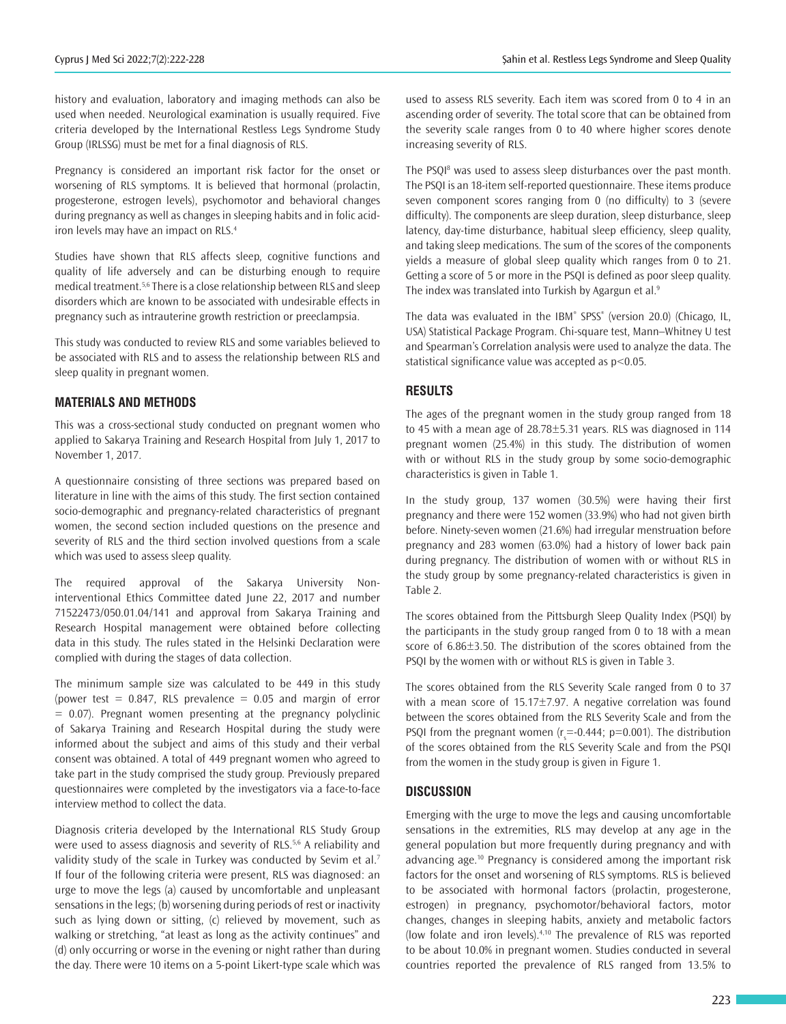history and evaluation, laboratory and imaging methods can also be used when needed. Neurological examination is usually required. Five criteria developed by the International Restless Legs Syndrome Study Group (IRLSSG) must be met for a final diagnosis of RLS.

Pregnancy is considered an important risk factor for the onset or worsening of RLS symptoms. It is believed that hormonal (prolactin, progesterone, estrogen levels), psychomotor and behavioral changes during pregnancy as well as changes in sleeping habits and in folic acidiron levels may have an impact on RLS.<sup>4</sup>

Studies have shown that RLS affects sleep, cognitive functions and quality of life adversely and can be disturbing enough to require medical treatment.5,6 There is a close relationship between RLS and sleep disorders which are known to be associated with undesirable effects in pregnancy such as intrauterine growth restriction or preeclampsia.

This study was conducted to review RLS and some variables believed to be associated with RLS and to assess the relationship between RLS and sleep quality in pregnant women.

#### **MATERIALS AND METHODS**

This was a cross-sectional study conducted on pregnant women who applied to Sakarya Training and Research Hospital from July 1, 2017 to November 1, 2017.

A questionnaire consisting of three sections was prepared based on literature in line with the aims of this study. The first section contained socio-demographic and pregnancy-related characteristics of pregnant women, the second section included questions on the presence and severity of RLS and the third section involved questions from a scale which was used to assess sleep quality.

The required approval of the Sakarya University Noninterventional Ethics Committee dated June 22, 2017 and number 71522473/050.01.04/141 and approval from Sakarya Training and Research Hospital management were obtained before collecting data in this study. The rules stated in the Helsinki Declaration were complied with during the stages of data collection.

The minimum sample size was calculated to be 449 in this study (power test =  $0.847$ , RLS prevalence =  $0.05$  and margin of error  $= 0.07$ ). Pregnant women presenting at the pregnancy polyclinic of Sakarya Training and Research Hospital during the study were informed about the subject and aims of this study and their verbal consent was obtained. A total of 449 pregnant women who agreed to take part in the study comprised the study group. Previously prepared questionnaires were completed by the investigators via a face-to-face interview method to collect the data.

Diagnosis criteria developed by the International RLS Study Group were used to assess diagnosis and severity of RLS.<sup>5,6</sup> A reliability and validity study of the scale in Turkey was conducted by Sevim et al.<sup>7</sup> If four of the following criteria were present, RLS was diagnosed: an urge to move the legs (a) caused by uncomfortable and unpleasant sensations in the legs; (b) worsening during periods of rest or inactivity such as lying down or sitting, (c) relieved by movement, such as walking or stretching, "at least as long as the activity continues" and (d) only occurring or worse in the evening or night rather than during the day. There were 10 items on a 5-point Likert-type scale which was

used to assess RLS severity. Each item was scored from 0 to 4 in an ascending order of severity. The total score that can be obtained from the severity scale ranges from 0 to 40 where higher scores denote increasing severity of RLS.

The PSQI<sup>8</sup> was used to assess sleep disturbances over the past month. The PSQI is an 18-item self-reported questionnaire. These items produce seven component scores ranging from 0 (no difficulty) to 3 (severe difficulty). The components are sleep duration, sleep disturbance, sleep latency, day-time disturbance, habitual sleep efficiency, sleep quality, and taking sleep medications. The sum of the scores of the components yields a measure of global sleep quality which ranges from 0 to 21. Getting a score of 5 or more in the PSQI is defined as poor sleep quality. The index was translated into Turkish by Agargun et al.<sup>9</sup>

The data was evaluated in the IBM® SPSS® (version 20.0) (Chicago, IL, USA) Statistical Package Program. Chi-square test, Mann–Whitney U test and Spearman's Correlation analysis were used to analyze the data. The statistical significance value was accepted as p<0.05.

### **RESULTS**

The ages of the pregnant women in the study group ranged from 18 to 45 with a mean age of 28.78±5.31 years. RLS was diagnosed in 114 pregnant women (25.4%) in this study. The distribution of women with or without RLS in the study group by some socio-demographic characteristics is given in Table 1.

In the study group, 137 women (30.5%) were having their first pregnancy and there were 152 women (33.9%) who had not given birth before. Ninety-seven women (21.6%) had irregular menstruation before pregnancy and 283 women (63.0%) had a history of lower back pain during pregnancy. The distribution of women with or without RLS in the study group by some pregnancy-related characteristics is given in Table 2.

The scores obtained from the Pittsburgh Sleep Quality Index (PSQI) by the participants in the study group ranged from 0 to 18 with a mean score of 6.86±3.50. The distribution of the scores obtained from the PSQI by the women with or without RLS is given in Table 3.

The scores obtained from the RLS Severity Scale ranged from 0 to 37 with a mean score of 15.17±7.97. A negative correlation was found between the scores obtained from the RLS Severity Scale and from the PSQI from the pregnant women  $(r_s = -0.444; p = 0.001)$ . The distribution of the scores obtained from the RLS Severity Scale and from the PSQI from the women in the study group is given in Figure 1.

#### **DISCUSSION**

Emerging with the urge to move the legs and causing uncomfortable sensations in the extremities, RLS may develop at any age in the general population but more frequently during pregnancy and with advancing age.10 Pregnancy is considered among the important risk factors for the onset and worsening of RLS symptoms. RLS is believed to be associated with hormonal factors (prolactin, progesterone, estrogen) in pregnancy, psychomotor/behavioral factors, motor changes, changes in sleeping habits, anxiety and metabolic factors (low folate and iron levels). $4,10$  The prevalence of RLS was reported to be about 10.0% in pregnant women. Studies conducted in several countries reported the prevalence of RLS ranged from 13.5% to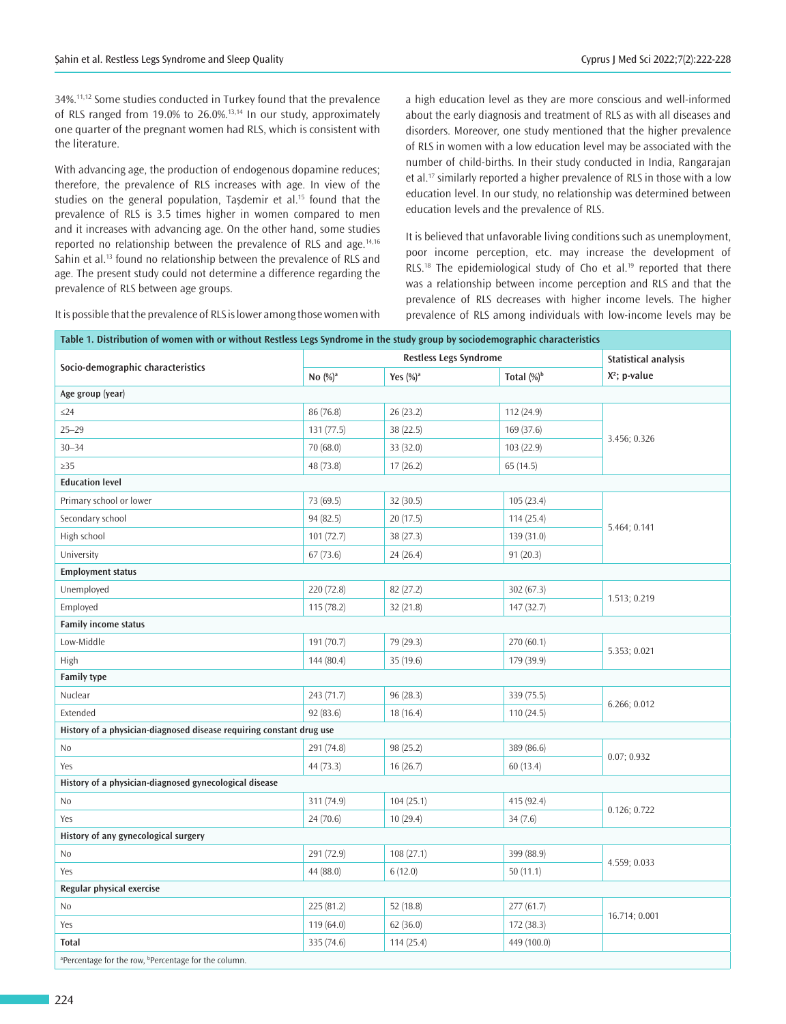34%.11,12 Some studies conducted in Turkey found that the prevalence of RLS ranged from 19.0% to 26.0%.13,14 In our study, approximately one quarter of the pregnant women had RLS, which is consistent with the literature.

With advancing age, the production of endogenous dopamine reduces; therefore, the prevalence of RLS increases with age. In view of the studies on the general population. Tasdemir et al.<sup>15</sup> found that the prevalence of RLS is 3.5 times higher in women compared to men and it increases with advancing age. On the other hand, some studies reported no relationship between the prevalence of RLS and age.<sup>14,16</sup> Sahin et al.<sup>13</sup> found no relationship between the prevalence of RLS and age. The present study could not determine a difference regarding the prevalence of RLS between age groups.

It is possible that the prevalence of RLS is lower among those women with

a high education level as they are more conscious and well-informed about the early diagnosis and treatment of RLS as with all diseases and disorders. Moreover, one study mentioned that the higher prevalence of RLS in women with a low education level may be associated with the number of child-births. In their study conducted in India, Rangarajan et al.<sup>17</sup> similarly reported a higher prevalence of RLS in those with a low education level. In our study, no relationship was determined between education levels and the prevalence of RLS.

It is believed that unfavorable living conditions such as unemployment, poor income perception, etc. may increase the development of RLS.<sup>18</sup> The epidemiological study of Cho et al.<sup>19</sup> reported that there was a relationship between income perception and RLS and that the prevalence of RLS decreases with higher income levels. The higher prevalence of RLS among individuals with low-income levels may be

| Table 1. Distribution of women with or without Restless Legs Syndrome in the study group by sociodemographic characteristics |                               |              |                        |                             |  |  |
|------------------------------------------------------------------------------------------------------------------------------|-------------------------------|--------------|------------------------|-----------------------------|--|--|
| Socio-demographic characteristics                                                                                            | <b>Restless Legs Syndrome</b> |              |                        | <b>Statistical analysis</b> |  |  |
|                                                                                                                              | No $(\%)^a$                   | Yes $(\%)^a$ | Total (%) <sup>b</sup> | X <sup>2</sup> ; p-value    |  |  |
| Age group (year)                                                                                                             |                               |              |                        |                             |  |  |
| $\leq$ 24                                                                                                                    | 86 (76.8)                     | 26(23.2)     | 112 (24.9)             |                             |  |  |
| $25 - 29$                                                                                                                    | 131 (77.5)                    | 38 (22.5)    | 169 (37.6)             |                             |  |  |
| $30 - 34$                                                                                                                    | 70 (68.0)                     | 33 (32.0)    | 103 (22.9)             | 3.456; 0.326                |  |  |
| $\geq$ 35                                                                                                                    | 48 (73.8)                     | 17(26.2)     | 65(14.5)               |                             |  |  |
| <b>Education level</b>                                                                                                       |                               |              |                        |                             |  |  |
| Primary school or lower                                                                                                      | 73 (69.5)                     | 32(30.5)     | 105(23.4)              |                             |  |  |
| Secondary school                                                                                                             | 94 (82.5)                     | 20(17.5)     | 114(25.4)              |                             |  |  |
| High school                                                                                                                  | 101(72.7)                     | 38(27.3)     | 139 (31.0)             | 5.464; 0.141                |  |  |
| University                                                                                                                   | 67(73.6)                      | 24(26.4)     | 91(20.3)               |                             |  |  |
| <b>Employment status</b>                                                                                                     |                               |              |                        |                             |  |  |
| Unemployed                                                                                                                   | 220 (72.8)                    | 82 (27.2)    | 302(67.3)              | 1.513; 0.219                |  |  |
| Employed                                                                                                                     | 115(78.2)                     | 32(21.8)     | 147 (32.7)             |                             |  |  |
| <b>Family income status</b>                                                                                                  |                               |              |                        |                             |  |  |
| Low-Middle                                                                                                                   | 191 (70.7)                    | 79 (29.3)    | 270 (60.1)             | 5.353; 0.021                |  |  |
| High                                                                                                                         | 144(80.4)                     | 35(19.6)     | 179 (39.9)             |                             |  |  |
| <b>Family type</b>                                                                                                           |                               |              |                        |                             |  |  |
| Nuclear                                                                                                                      | 243 (71.7)                    | 96(28.3)     | 339 (75.5)             | 6.266; 0.012                |  |  |
| Extended                                                                                                                     | 92(83.6)                      | 18(16.4)     | 110(24.5)              |                             |  |  |
| History of a physician-diagnosed disease requiring constant drug use                                                         |                               |              |                        |                             |  |  |
| No                                                                                                                           | 291 (74.8)                    | 98 (25.2)    | 389 (86.6)             | 0.07; 0.932                 |  |  |
| Yes                                                                                                                          | 44 (73.3)                     | 16(26.7)     | 60(13.4)               |                             |  |  |
| History of a physician-diagnosed gynecological disease                                                                       |                               |              |                        |                             |  |  |
| No                                                                                                                           | 311 (74.9)                    | 104(25.1)    | 415 (92.4)             | 0.126; 0.722                |  |  |
| Yes                                                                                                                          | 24(70.6)                      | 10(29.4)     | 34(7.6)                |                             |  |  |
| History of any gynecological surgery                                                                                         |                               |              |                        |                             |  |  |
| No                                                                                                                           | 291 (72.9)                    | 108(27.1)    | 399 (88.9)             | 4.559; 0.033                |  |  |
| Yes                                                                                                                          | 44 (88.0)                     | 6(12.0)      | 50(11.1)               |                             |  |  |
| Regular physical exercise                                                                                                    |                               |              |                        |                             |  |  |
| No                                                                                                                           | 225 (81.2)                    | 52(18.8)     | 277(61.7)              | 16.714; 0.001               |  |  |
| Yes                                                                                                                          | 119(64.0)                     | 62(36.0)     | 172 (38.3)             |                             |  |  |
| Total                                                                                                                        | 335 (74.6)                    | 114 (25.4)   | 449 (100.0)            |                             |  |  |
| <sup>a</sup> Percentage for the row, <sup>b</sup> Percentage for the column.                                                 |                               |              |                        |                             |  |  |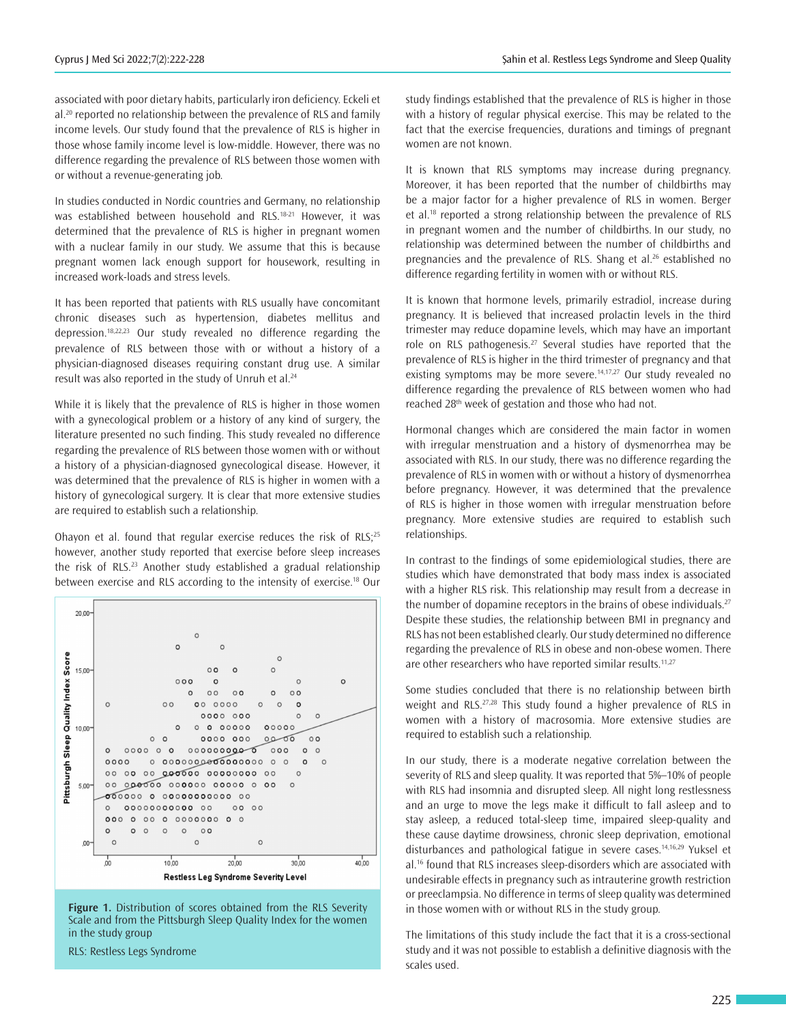associated with poor dietary habits, particularly iron deficiency. Eckeli et al.<sup>20</sup> reported no relationship between the prevalence of RLS and family income levels. Our study found that the prevalence of RLS is higher in those whose family income level is low-middle. However, there was no difference regarding the prevalence of RLS between those women with or without a revenue-generating job.

In studies conducted in Nordic countries and Germany, no relationship was established between household and RLS.<sup>18-21</sup> However, it was determined that the prevalence of RLS is higher in pregnant women with a nuclear family in our study. We assume that this is because pregnant women lack enough support for housework, resulting in increased work-loads and stress levels.

It has been reported that patients with RLS usually have concomitant chronic diseases such as hypertension, diabetes mellitus and depression.18,22,23 Our study revealed no difference regarding the prevalence of RLS between those with or without a history of a physician-diagnosed diseases requiring constant drug use. A similar result was also reported in the study of Unruh et al.<sup>24</sup>

While it is likely that the prevalence of RLS is higher in those women with a gynecological problem or a history of any kind of surgery, the literature presented no such finding. This study revealed no difference regarding the prevalence of RLS between those women with or without a history of a physician-diagnosed gynecological disease. However, it was determined that the prevalence of RLS is higher in women with a history of gynecological surgery. It is clear that more extensive studies are required to establish such a relationship.

Ohayon et al. found that regular exercise reduces the risk of RLS; $25$ however, another study reported that exercise before sleep increases the risk of RLS.<sup>23</sup> Another study established a gradual relationship between exercise and RLS according to the intensity of exercise.<sup>18</sup> Our



**Figure 1.** Distribution of scores obtained from the RLS Severity Scale and from the Pittsburgh Sleep Quality Index for the women in the study group

RLS: Restless Legs Syndrome

study findings established that the prevalence of RLS is higher in those with a history of regular physical exercise. This may be related to the fact that the exercise frequencies, durations and timings of pregnant women are not known.

It is known that RLS symptoms may increase during pregnancy. Moreover, it has been reported that the number of childbirths may be a major factor for a higher prevalence of RLS in women. Berger et al.<sup>18</sup> reported a strong relationship between the prevalence of RLS in pregnant women and the number of childbirths. In our study, no relationship was determined between the number of childbirths and pregnancies and the prevalence of RLS. Shang et al.<sup>26</sup> established no difference regarding fertility in women with or without RLS.

It is known that hormone levels, primarily estradiol, increase during pregnancy. It is believed that increased prolactin levels in the third trimester may reduce dopamine levels, which may have an important role on RLS pathogenesis.<sup>27</sup> Several studies have reported that the prevalence of RLS is higher in the third trimester of pregnancy and that existing symptoms may be more severe.<sup>14,17,27</sup> Our study revealed no difference regarding the prevalence of RLS between women who had reached 28<sup>th</sup> week of gestation and those who had not.

Hormonal changes which are considered the main factor in women with irregular menstruation and a history of dysmenorrhea may be associated with RLS. In our study, there was no difference regarding the prevalence of RLS in women with or without a history of dysmenorrhea before pregnancy. However, it was determined that the prevalence of RLS is higher in those women with irregular menstruation before pregnancy. More extensive studies are required to establish such relationships.

In contrast to the findings of some epidemiological studies, there are studies which have demonstrated that body mass index is associated with a higher RLS risk. This relationship may result from a decrease in the number of dopamine receptors in the brains of obese individuals. $27$ Despite these studies, the relationship between BMI in pregnancy and RLS has not been established clearly. Our study determined no difference regarding the prevalence of RLS in obese and non-obese women. There are other researchers who have reported similar results.<sup>11,27</sup>

Some studies concluded that there is no relationship between birth weight and RLS.<sup>27,28</sup> This study found a higher prevalence of RLS in women with a history of macrosomia. More extensive studies are required to establish such a relationship.

In our study, there is a moderate negative correlation between the severity of RLS and sleep quality. It was reported that 5%–10% of people with RLS had insomnia and disrupted sleep. All night long restlessness and an urge to move the legs make it difficult to fall asleep and to stay asleep, a reduced total-sleep time, impaired sleep-quality and these cause daytime drowsiness, chronic sleep deprivation, emotional disturbances and pathological fatigue in severe cases.<sup>14,16,29</sup> Yuksel et al.<sup>16</sup> found that RLS increases sleep-disorders which are associated with undesirable effects in pregnancy such as intrauterine growth restriction or preeclampsia. No difference in terms of sleep quality was determined in those women with or without RLS in the study group.

The limitations of this study include the fact that it is a cross-sectional study and it was not possible to establish a definitive diagnosis with the scales used.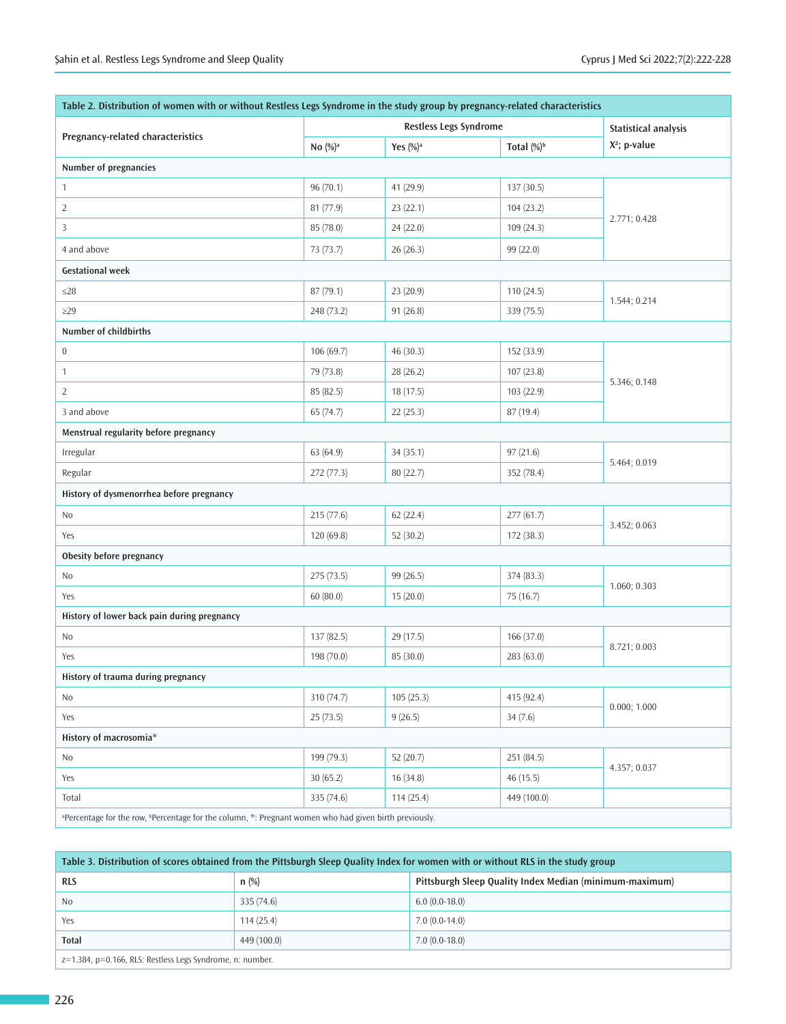| Table 2. Distribution of women with or without Restless Legs Syndrome in the study group by pregnancy-related characteristics |                        |              |                        |                          |  |  |
|-------------------------------------------------------------------------------------------------------------------------------|------------------------|--------------|------------------------|--------------------------|--|--|
| Pregnancy-related characteristics                                                                                             | Restless Legs Syndrome |              |                        | Statistical analysis     |  |  |
|                                                                                                                               | No $(\%)^a$            | Yes $(\%)^a$ | Total (%) <sup>b</sup> | X <sup>2</sup> ; p-value |  |  |
| Number of pregnancies                                                                                                         |                        |              |                        |                          |  |  |
| $\mathbf{1}$                                                                                                                  | 96 (70.1)              | 41 (29.9)    | 137 (30.5)             | 2.771; 0.428             |  |  |
| $\overline{2}$                                                                                                                | 81 (77.9)              | 23 (22.1)    | 104 (23.2)             |                          |  |  |
| 3                                                                                                                             | 85 (78.0)              | 24 (22.0)    | 109(24.3)              |                          |  |  |
| 4 and above                                                                                                                   | 73 (73.7)              | 26(26.3)     | 99 (22.0)              |                          |  |  |
| <b>Gestational week</b>                                                                                                       |                        |              |                        |                          |  |  |
| $\leq$ 28                                                                                                                     | 87(79.1)               | 23 (20.9)    | 110(24.5)              | 1.544; 0.214             |  |  |
| $\geq$ 29                                                                                                                     | 248 (73.2)             | 91(26.8)     | 339 (75.5)             |                          |  |  |
| Number of childbirths                                                                                                         |                        |              |                        |                          |  |  |
| $\boldsymbol{0}$                                                                                                              | 106 (69.7)             | 46 (30.3)    | 152 (33.9)             |                          |  |  |
| $\mathbf{1}$                                                                                                                  | 79 (73.8)              | 28 (26.2)    | 107 (23.8)             |                          |  |  |
| $\overline{2}$                                                                                                                | 85 (82.5)              | 18(17.5)     | 103 (22.9)             | 5.346; 0.148             |  |  |
| 3 and above                                                                                                                   | 65 (74.7)              | 22(25.3)     | 87 (19.4)              |                          |  |  |
| Menstrual regularity before pregnancy                                                                                         |                        |              |                        |                          |  |  |
| Irregular                                                                                                                     | 63 (64.9)              | 34(35.1)     | 97(21.6)               | 5.464; 0.019             |  |  |
| Regular                                                                                                                       | 272 (77.3)             | 80 (22.7)    | 352 (78.4)             |                          |  |  |
| History of dysmenorrhea before pregnancy                                                                                      |                        |              |                        |                          |  |  |
| No                                                                                                                            | 215 (77.6)             | 62(22.4)     | 277 (61.7)             | 3.452; 0.063             |  |  |
| Yes                                                                                                                           | 120(69.8)              | 52(30.2)     | 172 (38.3)             |                          |  |  |
| Obesity before pregnancy                                                                                                      |                        |              |                        |                          |  |  |
| No                                                                                                                            | 275 (73.5)             | 99 (26.5)    | 374 (83.3)             | 1.060; 0.303             |  |  |
| Yes                                                                                                                           | 60(80.0)               | 15(20.0)     | 75 (16.7)              |                          |  |  |
| History of lower back pain during pregnancy                                                                                   |                        |              |                        |                          |  |  |
| No                                                                                                                            | 137 (82.5)             | 29 (17.5)    | 166 (37.0)             | 8.721; 0.003             |  |  |
| Yes                                                                                                                           | 198 (70.0)             | 85 (30.0)    | 283 (63.0)             |                          |  |  |
| History of trauma during pregnancy                                                                                            |                        |              |                        |                          |  |  |
| No                                                                                                                            | 310 (74.7)             | 105(25.3)    | 415 (92.4)             | 0.000; 1.000             |  |  |
| Yes                                                                                                                           | 25(73.5)               | 9(26.5)      | 34(7.6)                |                          |  |  |
| History of macrosomia*                                                                                                        |                        |              |                        |                          |  |  |
| No                                                                                                                            | 199 (79.3)             | 52(20.7)     | 251 (84.5)             | 4.357; 0.037             |  |  |
| Yes                                                                                                                           | 30(65.2)               | 16(34.8)     | 46(15.5)               |                          |  |  |
| Total                                                                                                                         | 335 (74.6)             | 114(25.4)    | 449 (100.0)            |                          |  |  |
| a Percentage for the row, <b>"Percentage for the column, *: Pregnant women who had given birth previously.</b>                |                        |              |                        |                          |  |  |

| Table 3. Distribution of scores obtained from the Pittsburgh Sleep Quality Index for women with or without RLS in the study group |             |                                                         |  |  |
|-----------------------------------------------------------------------------------------------------------------------------------|-------------|---------------------------------------------------------|--|--|
| <b>RLS</b>                                                                                                                        | $n$ (%)     | Pittsburgh Sleep Quality Index Median (minimum-maximum) |  |  |
| N <sub>0</sub>                                                                                                                    | 335(74.6)   | $6.0(0.0-18.0)$                                         |  |  |
| Yes                                                                                                                               | 114(25.4)   | $7.0(0.0-14.0)$                                         |  |  |
| <b>Total</b>                                                                                                                      | 449 (100.0) | $7.0(0.0-18.0)$                                         |  |  |
| $z=1.384$ , $p=0.166$ , RLS: Restless Legs Syndrome, n: number.                                                                   |             |                                                         |  |  |

226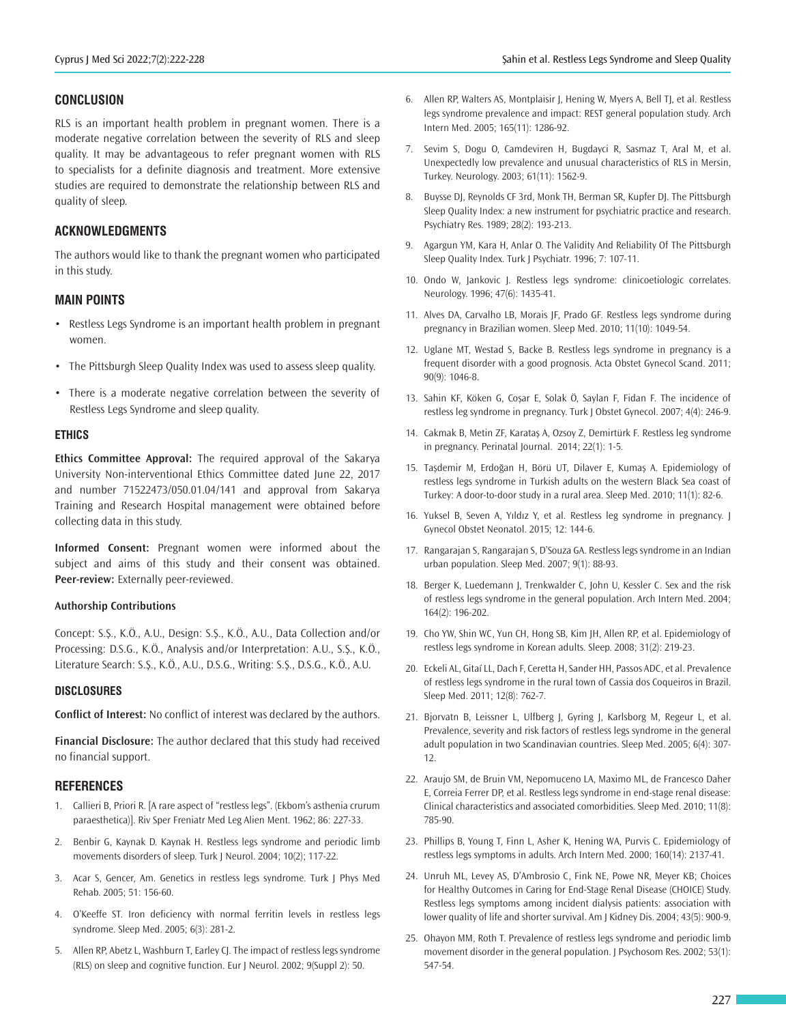#### **CONCLUSION**

RLS is an important health problem in pregnant women. There is a moderate negative correlation between the severity of RLS and sleep quality. It may be advantageous to refer pregnant women with RLS to specialists for a definite diagnosis and treatment. More extensive studies are required to demonstrate the relationship between RLS and quality of sleep.

## **ACKNOWLEDGMENTS**

The authors would like to thank the pregnant women who participated in this study.

#### **MAIN POINTS**

- Restless Legs Syndrome is an important health problem in pregnant women.
- The Pittsburgh Sleep Quality Index was used to assess sleep quality.
- There is a moderate negative correlation between the severity of Restless Legs Syndrome and sleep quality.

#### **ETHICS**

**Ethics Committee Approval:** The required approval of the Sakarya University Non-interventional Ethics Committee dated June 22, 2017 and number 71522473/050.01.04/141 and approval from Sakarya Training and Research Hospital management were obtained before collecting data in this study.

**Informed Consent:** Pregnant women were informed about the subject and aims of this study and their consent was obtained. **Peer-review:** Externally peer-reviewed.

#### **Authorship Contributions**

Concept: S.Ş., K.Ö., A.U., Design: S.Ş., K.Ö., A.U., Data Collection and/or Processing: D.S.G., K.Ö., Analysis and/or Interpretation: A.U., S.Ş., K.Ö., Literature Search: S.Ş., K.Ö., A.U., D.S.G., Writing: S.Ş., D.S.G., K.Ö., A.U.

#### **DISCLOSURES**

**Conflict of Interest:** No conflict of interest was declared by the authors.

**Financial Disclosure:** The author declared that this study had received no financial support.

#### **REFERENCES**

- 1. Callieri B, Priori R. [A rare aspect of "restless legs". (Ekbom's asthenia crurum paraesthetica)]. Riv Sper Freniatr Med Leg Alien Ment. 1962; 86: 227-33.
- 2. Benbir G, Kaynak D. Kaynak H. Restless legs syndrome and periodic limb movements disorders of sleep. Turk J Neurol. 2004; 10(2); 117-22.
- 3. Acar S, Gencer, Am. Genetics in restless legs syndrome. Turk J Phys Med Rehab. 2005; 51: 156-60.
- 4. O'Keeffe ST. Iron deficiency with normal ferritin levels in restless legs syndrome. Sleep Med. 2005; 6(3): 281-2.
- 5. Allen RP, Abetz L, Washburn T, Earley CJ. The impact of restless legs syndrome (RLS) on sleep and cognitive function. Eur J Neurol. 2002; 9(Suppl 2): 50.
- 6. Allen RP, Walters AS, Montplaisir J, Hening W, Myers A, Bell TJ, et al. Restless legs syndrome prevalence and impact: REST general population study. Arch Intern Med. 2005; 165(11): 1286-92.
- 7. Sevim S, Dogu O, Camdeviren H, Bugdayci R, Sasmaz T, Aral M, et al. Unexpectedly low prevalence and unusual characteristics of RLS in Mersin, Turkey. Neurology. 2003; 61(11): 1562-9.
- 8. Buysse DJ, Reynolds CF 3rd, Monk TH, Berman SR, Kupfer DJ. The Pittsburgh Sleep Quality Index: a new instrument for psychiatric practice and research. Psychiatry Res. 1989; 28(2): 193-213.
- 9. Agargun YM, Kara H, Anlar O. The Validity And Reliability Of The Pittsburgh Sleep Quality Index. Turk J Psychiatr. 1996; 7: 107-11.
- 10. Ondo W, Jankovic J. Restless legs syndrome: clinicoetiologic correlates. Neurology. 1996; 47(6): 1435-41.
- 11. Alves DA, Carvalho LB, Morais JF, Prado GF. Restless legs syndrome during pregnancy in Brazilian women. Sleep Med. 2010; 11(10): 1049-54.
- 12. Uglane MT, Westad S, Backe B. Restless legs syndrome in pregnancy is a frequent disorder with a good prognosis. Acta Obstet Gynecol Scand. 2011; 90(9): 1046-8.
- 13. Sahin KF, Köken G, Coşar E, Solak Ö, Saylan F, Fidan F. The incidence of restless leg syndrome in pregnancy. Turk J Obstet Gynecol. 2007; 4(4): 246-9.
- 14. Cakmak B, Metin ZF, Karataş A, Ozsoy Z, Demirtürk F. Restless leg syndrome in pregnancy. Perinatal Journal. 2014; 22(1): 1-5.
- 15. Taşdemir M, Erdoğan H, Börü UT, Dilaver E, Kumaş A. Epidemiology of restless legs syndrome in Turkish adults on the western Black Sea coast of Turkey: A door-to-door study in a rural area. Sleep Med. 2010; 11(1): 82-6.
- 16. Yuksel B, Seven A, Yıldız Y, et al. Restless leg syndrome in pregnancy. J Gynecol Obstet Neonatol. 2015; 12: 144-6.
- 17. Rangarajan S, Rangarajan S, D'Souza GA. Restless legs syndrome in an Indian urban population. Sleep Med. 2007; 9(1): 88-93.
- 18. Berger K, Luedemann J, Trenkwalder C, John U, Kessler C. Sex and the risk of restless legs syndrome in the general population. Arch Intern Med. 2004; 164(2): 196-202.
- 19. Cho YW, Shin WC, Yun CH, Hong SB, Kim JH, Allen RP, et al. Epidemiology of restless legs syndrome in Korean adults. Sleep. 2008; 31(2): 219-23.
- 20. Eckeli AL, Gitaí LL, Dach F, Ceretta H, Sander HH, Passos ADC, et al. Prevalence of restless legs syndrome in the rural town of Cassia dos Coqueiros in Brazil. Sleep Med. 2011; 12(8): 762-7.
- 21. Bjorvatn B, Leissner L, Ulfberg J, Gyring J, Karlsborg M, Regeur L, et al. Prevalence, severity and risk factors of restless legs syndrome in the general adult population in two Scandinavian countries. Sleep Med. 2005; 6(4): 307- 12.
- 22. Araujo SM, de Bruin VM, Nepomuceno LA, Maximo ML, de Francesco Daher E, Correia Ferrer DP, et al. Restless legs syndrome in end-stage renal disease: Clinical characteristics and associated comorbidities. Sleep Med. 2010; 11(8): 785-90.
- 23. Phillips B, Young T, Finn L, Asher K, Hening WA, Purvis C. Epidemiology of restless legs symptoms in adults. Arch Intern Med. 2000; 160(14): 2137-41.
- 24. Unruh ML, Levey AS, D'Ambrosio C, Fink NE, Powe NR, Meyer KB; Choices for Healthy Outcomes in Caring for End-Stage Renal Disease (CHOICE) Study. Restless legs symptoms among incident dialysis patients: association with lower quality of life and shorter survival. Am J Kidney Dis. 2004; 43(5): 900-9.
- 25. Ohayon MM, Roth T. Prevalence of restless legs syndrome and periodic limb movement disorder in the general population. J Psychosom Res. 2002; 53(1): 547-54.